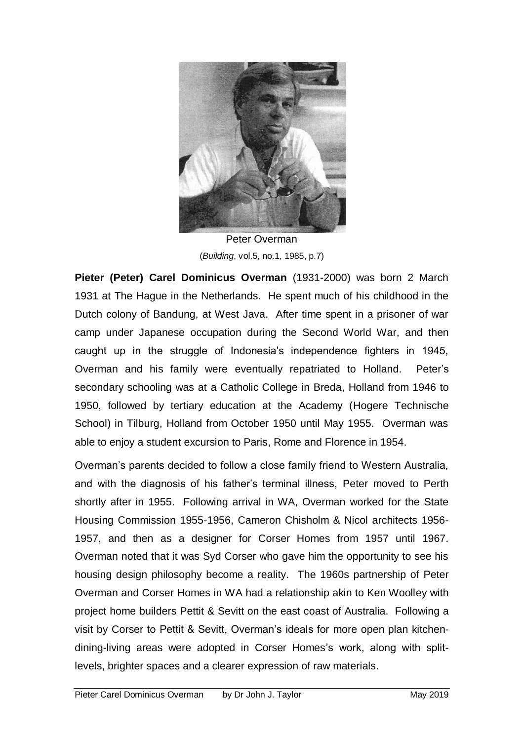

Peter Overman (*Building*, vol.5, no.1, 1985, p.7)

**Pieter (Peter) Carel Dominicus Overman** (1931-2000) was born 2 March 1931 at The Hague in the Netherlands. He spent much of his childhood in the Dutch colony of Bandung, at West Java. After time spent in a prisoner of war camp under Japanese occupation during the Second World War, and then caught up in the struggle of Indonesia's independence fighters in 1945, Overman and his family were eventually repatriated to Holland. Peter's secondary schooling was at a Catholic College in Breda, Holland from 1946 to 1950, followed by tertiary education at the Academy (Hogere Technische School) in Tilburg, Holland from October 1950 until May 1955. Overman was able to enjoy a student excursion to Paris, Rome and Florence in 1954.

Overman's parents decided to follow a close family friend to Western Australia, and with the diagnosis of his father's terminal illness, Peter moved to Perth shortly after in 1955. Following arrival in WA, Overman worked for the State Housing Commission 1955-1956, Cameron Chisholm & Nicol architects 1956- 1957, and then as a designer for Corser Homes from 1957 until 1967. Overman noted that it was Syd Corser who gave him the opportunity to see his housing design philosophy become a reality. The 1960s partnership of Peter Overman and Corser Homes in WA had a relationship akin to Ken Woolley with project home builders Pettit & Sevitt on the east coast of Australia. Following a visit by Corser to Pettit & Sevitt, Overman's ideals for more open plan kitchendining-living areas were adopted in Corser Homes's work, along with splitlevels, brighter spaces and a clearer expression of raw materials.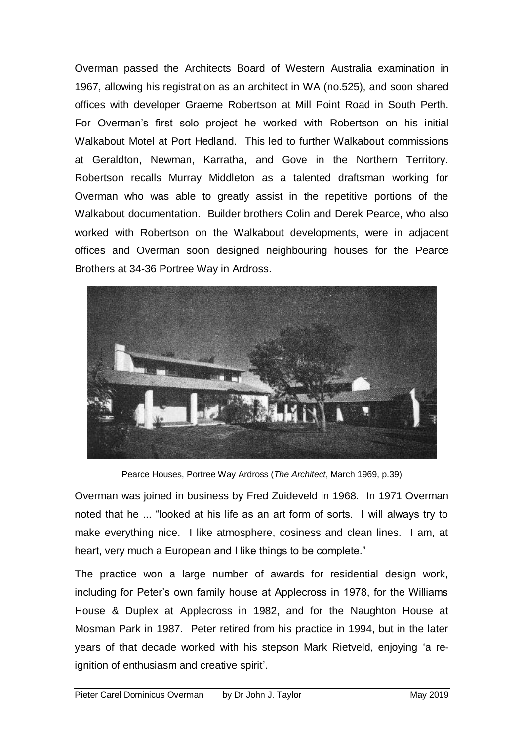Overman passed the Architects Board of Western Australia examination in 1967, allowing his registration as an architect in WA (no.525), and soon shared offices with developer Graeme Robertson at Mill Point Road in South Perth. For Overman's first solo project he worked with Robertson on his initial Walkabout Motel at Port Hedland. This led to further Walkabout commissions at Geraldton, Newman, Karratha, and Gove in the Northern Territory. Robertson recalls Murray Middleton as a talented draftsman working for Overman who was able to greatly assist in the repetitive portions of the Walkabout documentation. Builder brothers Colin and Derek Pearce, who also worked with Robertson on the Walkabout developments, were in adjacent offices and Overman soon designed neighbouring houses for the Pearce Brothers at 34-36 Portree Way in Ardross.



Pearce Houses, Portree Way Ardross (*The Architect*, March 1969, p.39)

Overman was joined in business by Fred Zuideveld in 1968. In 1971 Overman noted that he ... "looked at his life as an art form of sorts. I will always try to make everything nice. I like atmosphere, cosiness and clean lines. I am, at heart, very much a European and I like things to be complete."

The practice won a large number of awards for residential design work, including for Peter's own family house at Applecross in 1978, for the Williams House & Duplex at Applecross in 1982, and for the Naughton House at Mosman Park in 1987. Peter retired from his practice in 1994, but in the later years of that decade worked with his stepson Mark Rietveld, enjoying 'a reignition of enthusiasm and creative spirit'.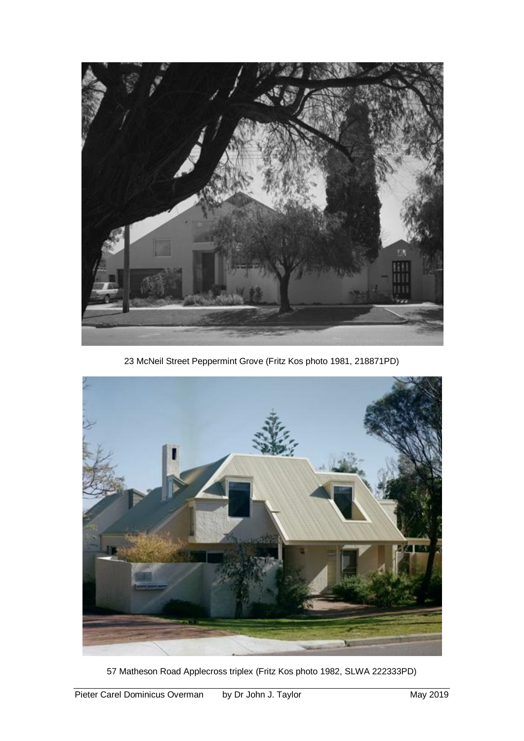

23 McNeil Street Peppermint Grove (Fritz Kos photo 1981, 218871PD)



57 Matheson Road Applecross triplex (Fritz Kos photo 1982, SLWA 222333PD)